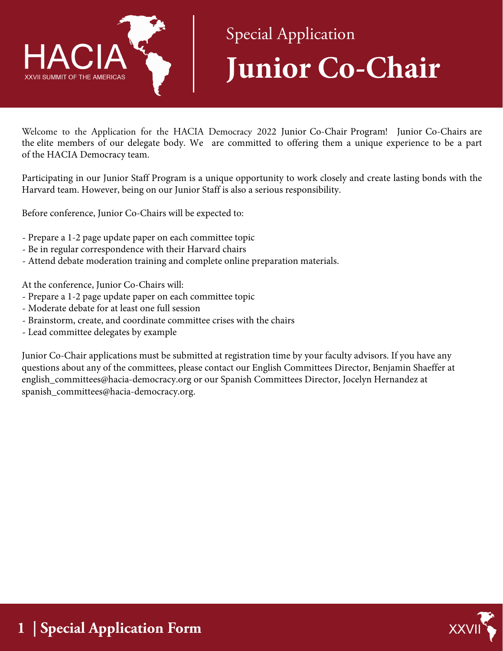

## Special Application **Junior Co-Chair**

Welcome to the Application for the HACIA Democracy 2022 Junior Co-Chair Program! Junior Co-Chairs are the elite members of our delegate body. We are committed to offering them a unique experience to be a part of the HACIA Democracy team.

Participating in our Junior Staff Program is a unique opportunity to work closely and create lasting bonds with the Harvard team. However, being on our Junior Staff is also a serious responsibility.

Before conference, Junior Co-Chairs will be expected to:

- Prepare a 1-2 page update paper on each committee topic
- Be in regular correspondence with their Harvard chairs
- Attend debate moderation training and complete online preparation materials.

At the conference, Junior Co-Chairs will:

- Prepare a 1-2 page update paper on each committee topic
- Moderate debate for at least one full session
- Brainstorm, create, and coordinate committee crises with the chairs
- Lead committee delegates by example

Junior Co-Chair applications must be submitted at registration time by your faculty advisors. If you have any questions about any of the committees, please contact our English Committees Director, Benjamin Shaeffer at english\_committees@hacia-democracy.org or our Spanish Committees Director, Jocelyn Hernandez at spanish\_committees@hacia-democracy.org.

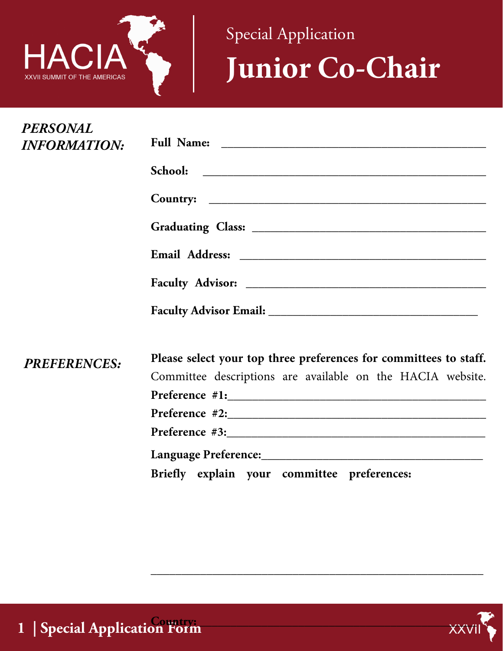

Special Application **Junior Co-Chair**

| <b>PERSONAL</b><br><b>INFORMATION:</b> |                                                                   |
|----------------------------------------|-------------------------------------------------------------------|
|                                        |                                                                   |
|                                        |                                                                   |
|                                        |                                                                   |
|                                        |                                                                   |
|                                        |                                                                   |
|                                        |                                                                   |
| <b>PREFERENCES:</b>                    | Please select your top three preferences for committees to staff. |
|                                        | Committee descriptions are available on the HACIA website.        |
|                                        |                                                                   |
|                                        |                                                                   |
|                                        |                                                                   |
|                                        |                                                                   |
|                                        | Briefly explain your committee preferences:                       |

**\_\_\_\_\_\_\_\_\_\_\_\_\_\_\_\_\_\_\_\_\_\_\_\_\_\_\_\_\_\_\_\_\_\_\_\_\_\_\_\_\_\_\_\_\_\_\_\_\_\_\_\_\_\_**

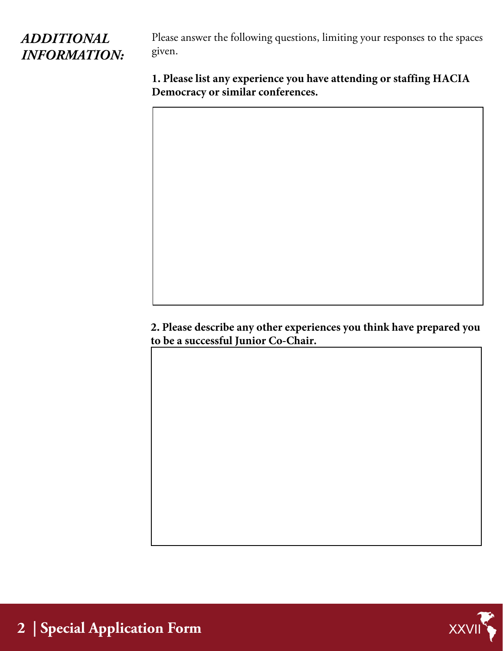## *ADDITIONAL INFORMATION:*

Please answer the following questions, limiting your responses to the spaces given.

**1. Please list any experience you have attending or staffing HACIA Democracy or similar conferences.**

**2. Please describe any other experiences you think have prepared you to be a successful Junior Co-Chair.**

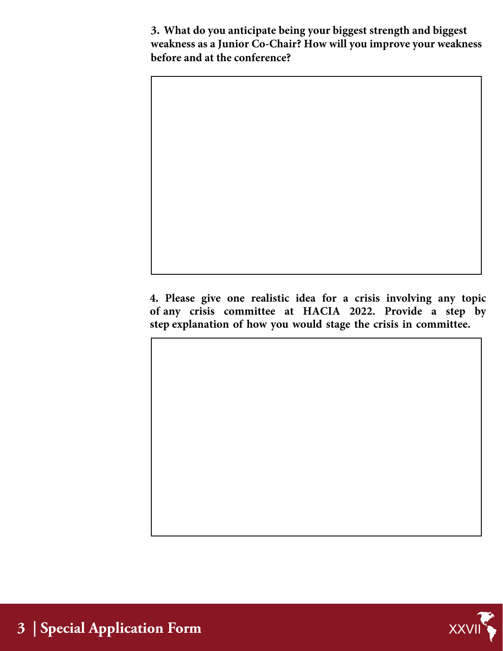**3. What do you anticipate being your biggest strength and biggest weakness as a Junior Co-Chair? How will you improve your weakness before and at the conference?**

**4. Please give one realistic idea for a crisis involving any topic of any crisis committee at HACIA 2022. Provide a step by step explanation of how you would stage the crisis in committee.**